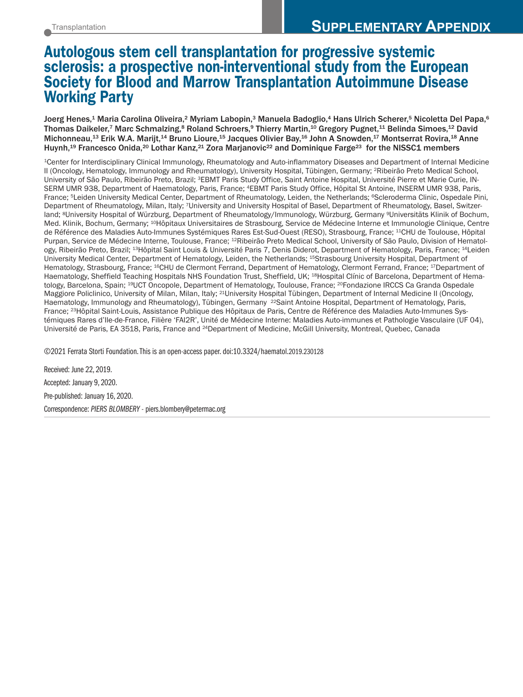# **Autologous stem cell transplantation for progressive systemic sclerosis: a prospective non-interventional study from the European Society for Blood and Marrow Transplantation Autoimmune Disease Working Party**

Joerg Henes, $^1$  Maria Carolina Oliveira, $^2$  Myriam Labopin, $^3$  Manuela Badoglio, $^4$  Hans Ulrich Scherer, $^5$  Nicoletta Del Papa, $^6$ Thomas Daikeler,<sup>7</sup> Marc Schmalzing,<sup>8</sup> Roland Schroers,<sup>9</sup> Thierry Martin,<sup>10</sup> Gregory Pugnet,<sup>11</sup> Belinda Simoes,<sup>12</sup> David Michonneau, $^{\rm 13}$  Erik W.A. Marijt, $^{\rm 14}$  Bruno Lioure, $^{\rm 15}$  Jacques Olivier Bay, $^{\rm 16}$  John A Snowden, $^{\rm 17}$  Montserrat Rovira, $^{\rm 18}$  Anne Huynh, <sup>19</sup> Francesco Onida, <sup>20</sup> Lothar Kanz, <sup>21</sup> Zora Marjanovic22 and Dominique Farge23 for the NISSC1 members

1Center for Interdisciplinary Clinical Immunology, Rheumatology and Auto-inflammatory Diseases and Department of Internal Medicine II (Oncology, Hematology, Immunology and Rheumatology), University Hospital, Tübingen, Germany; 2Ribeirão Preto Medical School, University of São Paulo, Ribeirão Preto, Brazil; 3EBMT Paris Study Office, Saint Antoine Hospital, Université Pierre et Marie Curie, IN-SERM UMR 938, Department of Haematology, Paris, France; 4EBMT Paris Study Office, Hôpital St Antoine, INSERM UMR 938, Paris, France; <sup>5</sup>Leiden University Medical Center, Department of Rheumatology, Leiden, the Netherlands; <sup>6</sup>Scleroderma Clinic, Ospedale Pini, Department of Rheumatology, Milan, Italy; 7University and University Hospital of Basel, Department of Rheumatology, Basel, Switzerland; <sup>8</sup>University Hospital of Würzburg, Department of Rheumatology/Immunology, Würzburg, Germany <sup>9</sup>Universitäts Klinik of Bochum, Med. Klinik, Bochum, Germany; 10Hôpitaux Universitaires de Strasbourg, Service de Médecine Interne et Immunologie Clinique, Centre de Référence des Maladies Auto-Immunes Systémiques Rares Est-Sud-Ouest (RESO), Strasbourg, France; 11CHU de Toulouse, Hôpital Purpan, Service de Médecine Interne, Toulouse, France; 12Ribeirão Preto Medical School, University of São Paulo, Division of Hematology, Ribeirão Preto, Brazil; 13Hôpital Saint Louis & Université Paris 7, Denis Diderot, Department of Hematology, Paris, France; 14Leiden University Medical Center, Department of Hematology, Leiden, the Netherlands; 15Strasbourg University Hospital, Department of Hematology, Strasbourg, France; <sup>16</sup>CHU de Clermont Ferrand, Department of Hematology, Clermont Ferrand, France; <sup>17</sup>Department of Haematology, Sheffield Teaching Hospitals NHS Foundation Trust, Sheffield, UK; 18Hospital Clínic of Barcelona, Department of Hematology, Barcelona, Spain; <sup>19</sup>UCT Oncopole, Department of Hematology, Toulouse, France; <sup>20</sup>Fondazione IRCCS Ca Granda Ospedale Maggiore Policlinico, University of Milan, Milan, Italy; 21University Hospital Tübingen, Department of Internal Medicine II (Oncology, Haematology, Immunology and Rheumatology), Tübingen, Germany <sup>22</sup>Saint Antoine Hospital, Department of Hematology, Paris, France; 23Hôpital Saint-Louis, Assistance Publique des Hôpitaux de Paris, Centre de Référence des Maladies Auto-Immunes Systémiques Rares d'Ile-de-France, Filière 'FAI2R', Unité de Médecine Interne: Maladies Auto-immunes et Pathologie Vasculaire (UF 04), Université de Paris, EA 3518, Paris, France and 24Department of Medicine, McGill University, Montreal, Quebec, Canada

©2021 Ferrata Storti Foundation.This is an open-access paper. doi:10.3324/haematol.2019.230128

Received: June 22, 2019. Accepted: January 9, 2020. Pre-published: January 16, 2020. Correspondence: *PIERS BLOMBERY -* piers.blombery@petermac.org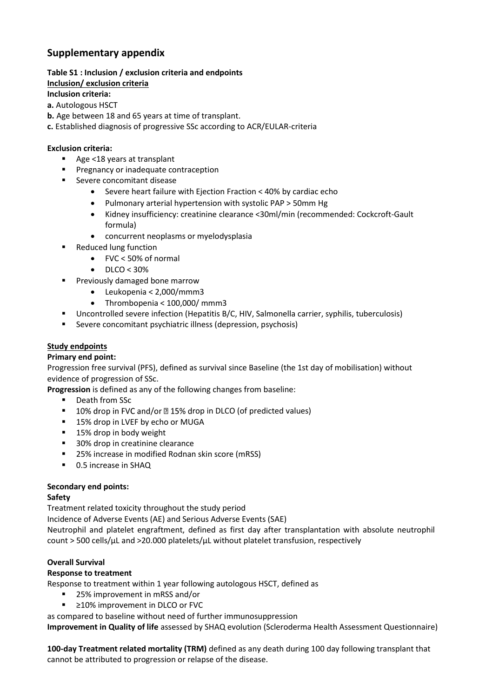# **Supplementary appendix**

### **Table S1 : Inclusion / exclusion criteria and endpoints**

#### **Inclusion/ exclusion criteria**

#### **Inclusion criteria:**

#### **a.** Autologous HSCT

- **b.** Age between 18 and 65 years at time of transplant.
- **c.** Established diagnosis of progressive SSc according to ACR/EULAR-criteria

#### **Exclusion criteria:**

- Age <18 years at transplant
- **Pregnancy or inadequate contraception**
- Severe concomitant disease
	- Severe heart failure with Ejection Fraction < 40% by cardiac echo
	- Pulmonary arterial hypertension with systolic PAP > 50mm Hg
	- Kidney insufficiency: creatinine clearance <30ml/min (recommended: Cockcroft-Gault formula)
	- concurrent neoplasms or myelodysplasia
- Reduced lung function
	- FVC < 50% of normal
	- $\bullet$  DLCO < 30%
- **Previously damaged bone marrow** 
	- Leukopenia < 2,000/mmm3
	- Thrombopenia < 100,000/ mmm3
- Uncontrolled severe infection (Hepatitis B/C, HIV, Salmonella carrier, syphilis, tuberculosis)
- Severe concomitant psychiatric illness (depression, psychosis)

#### **Study endpoints**

#### **Primary end point:**

Progression free survival (PFS), defined as survival since Baseline (the 1st day of mobilisation) without evidence of progression of SSc.

**Progression** is defined as any of the following changes from baseline:

- Death from SSc
- $\blacksquare$  10% drop in FVC and/or  $\blacksquare$  15% drop in DLCO (of predicted values)
- 15% drop in LVEF by echo or MUGA
- 15% drop in body weight
- 30% drop in creatinine clearance
- 25% increase in modified Rodnan skin score (mRSS)
- 0.5 increase in SHAQ

#### **Secondary end points:**

#### **Safety**

Treatment related toxicity throughout the study period

Incidence of Adverse Events (AE) and Serious Adverse Events (SAE)

Neutrophil and platelet engraftment, defined as first day after transplantation with absolute neutrophil count > 500 cells/ $\mu$ L and >20.000 platelets/ $\mu$ L without platelet transfusion, respectively

#### **Overall Survival**

#### **Response to treatment**

Response to treatment within 1 year following autologous HSCT, defined as

- 25% improvement in mRSS and/or
- ≥10% improvement in DLCO or FVC

as compared to baseline without need of further immunosuppression

**Improvement in Quality of life** assessed by SHAQ evolution (Scleroderma Health Assessment Questionnaire)

**100-day Treatment related mortality (TRM)** defined as any death during 100 day following transplant that cannot be attributed to progression or relapse of the disease.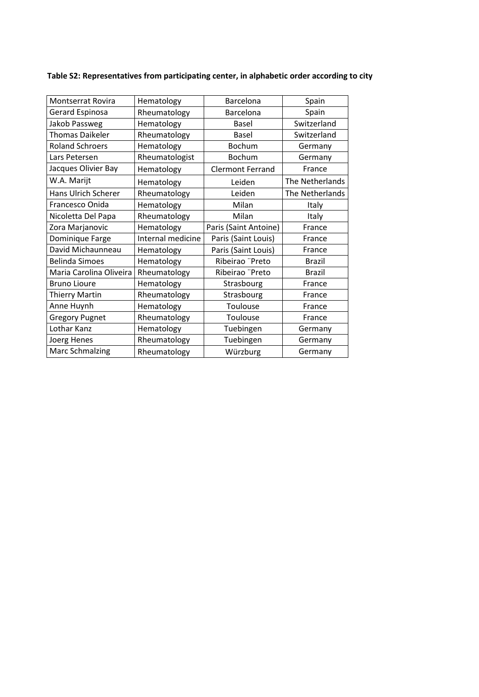| <b>Montserrat Rovira</b>   | Hematology        | Barcelona               | Spain           |
|----------------------------|-------------------|-------------------------|-----------------|
| Gerard Espinosa            | Rheumatology      | Barcelona               | Spain           |
| Jakob Passweg              | Hematology        | Basel                   | Switzerland     |
| <b>Thomas Daikeler</b>     | Rheumatology      | Basel                   | Switzerland     |
| <b>Roland Schroers</b>     | Hematology        | Bochum                  | Germany         |
| Lars Petersen              | Rheumatologist    | <b>Bochum</b>           | Germany         |
| Jacques Olivier Bay        | Hematology        | <b>Clermont Ferrand</b> | France          |
| W.A. Marijt                | Hematology        | Leiden                  | The Netherlands |
| <b>Hans Ulrich Scherer</b> | Rheumatology      | Leiden                  | The Netherlands |
| Francesco Onida            | Hematology        | Milan                   | Italy           |
| Nicoletta Del Papa         | Rheumatology      | Milan                   | Italy           |
| Zora Marjanovic            | Hematology        | Paris (Saint Antoine)   | France          |
| Dominique Farge            | Internal medicine | Paris (Saint Louis)     | France          |
| David Michaunneau          | Hematology        | Paris (Saint Louis)     | France          |
| <b>Belinda Simoes</b>      | Hematology        | Ribeirao "Preto         | <b>Brazil</b>   |
| Maria Carolina Oliveira    | Rheumatology      | Ribeirao "Preto         | <b>Brazil</b>   |
| <b>Bruno Lioure</b>        | Hematology        | Strasbourg              | France          |
| <b>Thierry Martin</b>      | Rheumatology      | Strasbourg              | France          |
| Anne Huynh                 | Hematology        | Toulouse                | France          |
| <b>Gregory Pugnet</b>      | Rheumatology      | Toulouse                | France          |
| Lothar Kanz                | Hematology        | Tuebingen               | Germany         |
| Joerg Henes                | Rheumatology      | Tuebingen               | Germany         |
| <b>Marc Schmalzing</b>     | Rheumatology      | Würzburg                | Germany         |
|                            |                   |                         |                 |

## **Table S2: Representatives from participating center, in alphabetic order according to city**